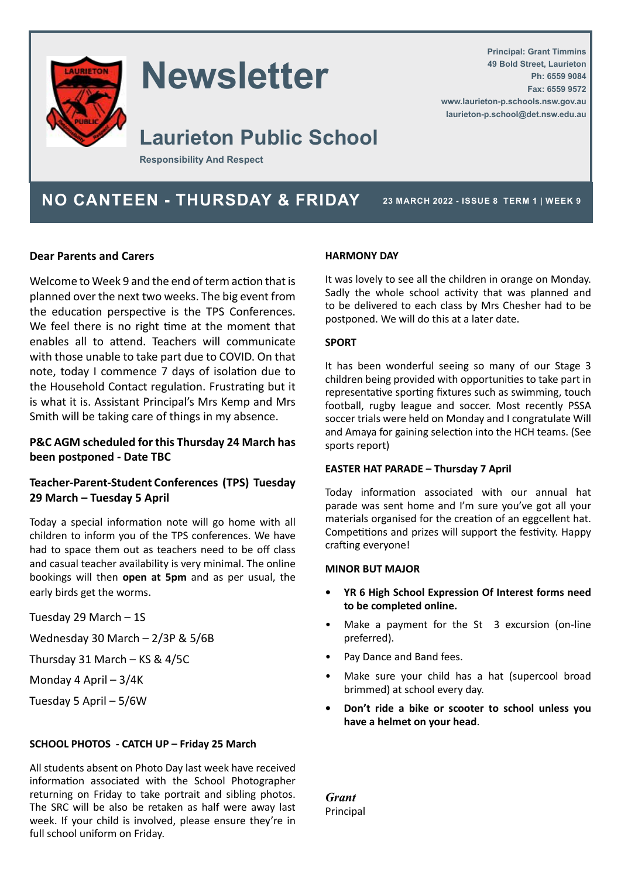

# **Newsletter**

# **Laurieton Public School**

**Responsibility And Respect**

**NO CANTEEN - THURSDAY & FRIDAY** 23 MARCH 2022 - ISSUE 8 TERM 1 | WEEK 9

**Principal: Grant Timmins 49 Bold Street, Laurieton**

**www.laurieton-p.schools.nsw.gov.au laurieton-p.school@det.nsw.edu.au**

**Ph: 6559 9084 Fax: 6559 9572**

#### **Dear Parents and Carers**

Welcome to Week 9 and the end of term action that is planned over the next two weeks. The big event from the education perspective is the TPS Conferences. We feel there is no right time at the moment that enables all to attend. Teachers will communicate with those unable to take part due to COVID. On that note, today I commence 7 days of isolation due to the Household Contact regulation. Frustrating but it is what it is. Assistant Principal's Mrs Kemp and Mrs Smith will be taking care of things in my absence.

#### **P&C AGM scheduled for this Thursday 24 March has been postponed - Date TBC**

#### **Teacher-Parent-Student Conferences (TPS) Tuesday 29 March – Tuesday 5 April**

Today a special information note will go home with all children to inform you of the TPS conferences. We have had to space them out as teachers need to be off class and casual teacher availability is very minimal. The online bookings will then **open at 5pm** and as per usual, the early birds get the worms.

Tuesday 29 March – 1S

Wednesday 30 March – 2/3P & 5/6B

Thursday 31 March – KS & 4/5C

- Monday 4 April 3/4K
- Tuesday 5 April 5/6W

#### **SCHOOL PHOTOS - CATCH UP – Friday 25 March**

All students absent on Photo Day last week have received information associated with the School Photographer returning on Friday to take portrait and sibling photos. The SRC will be also be retaken as half were away last week. If your child is involved, please ensure they're in full school uniform on Friday.

#### **HARMONY DAY**

It was lovely to see all the children in orange on Monday. Sadly the whole school activity that was planned and to be delivered to each class by Mrs Chesher had to be postponed. We will do this at a later date.

#### **SPORT**

It has been wonderful seeing so many of our Stage 3 children being provided with opportunities to take part in representative sporting fixtures such as swimming, touch football, rugby league and soccer. Most recently PSSA soccer trials were held on Monday and I congratulate Will and Amaya for gaining selection into the HCH teams. (See sports report)

#### **EASTER HAT PARADE – Thursday 7 April**

Today information associated with our annual hat parade was sent home and I'm sure you've got all your materials organised for the creation of an eggcellent hat. Competitions and prizes will support the festivity. Happy crafting everyone!

#### **MINOR BUT MAJOR**

- **• YR 6 High School Expression Of Interest forms need to be completed online.**
- Make a payment for the St 3 excursion (on-line preferred).
- Pay Dance and Band fees.
- Make sure your child has a hat (supercool broad brimmed) at school every day.
- **• Don't ride a bike or scooter to school unless you have a helmet on your head**.

*Grant* Principal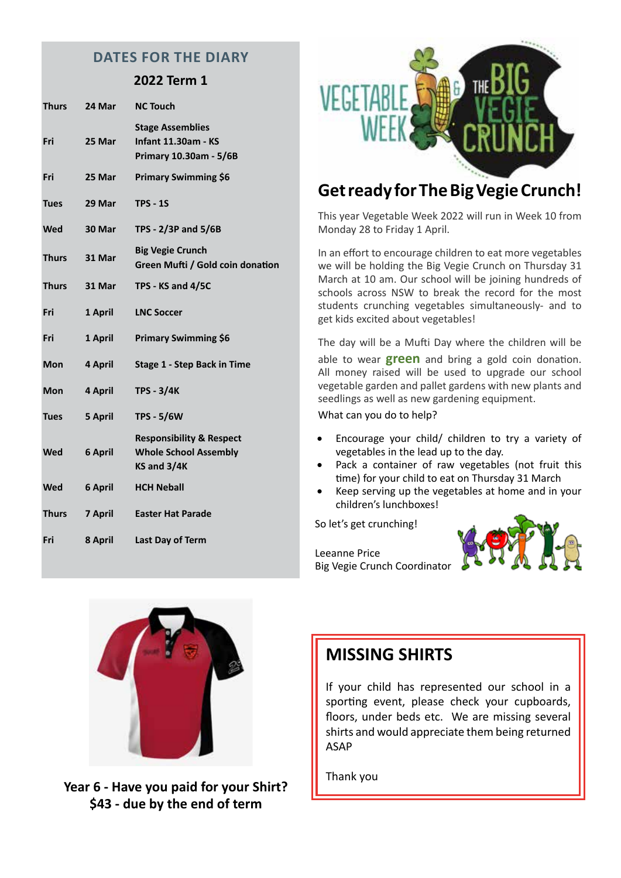#### **DATES FOR THE DIARY**

#### **2022 Term 1**

| <b>Thurs</b> | 24 Mar  | <b>NC Touch</b>                                                                    |
|--------------|---------|------------------------------------------------------------------------------------|
| Fri          | 25 Mar  | <b>Stage Assemblies</b><br><b>Infant 11.30am - KS</b><br>Primary 10.30am - 5/6B    |
| Fri          | 25 Mar  | <b>Primary Swimming \$6</b>                                                        |
| <b>Tues</b>  | 29 Mar  | <b>TPS - 1S</b>                                                                    |
| <b>Wed</b>   | 30 Mar  | TPS - 2/3P and 5/6B                                                                |
| <b>Thurs</b> | 31 Mar  | <b>Big Vegie Crunch</b><br>Green Mufti / Gold coin donation                        |
| <b>Thurs</b> | 31 Mar  | TPS - KS and 4/5C                                                                  |
| Fri          | 1 April | <b>LNC Soccer</b>                                                                  |
| Fri          | 1 April | <b>Primary Swimming \$6</b>                                                        |
| Mon          | 4 April | Stage 1 - Step Back in Time                                                        |
| <b>Mon</b>   | 4 April | <b>TPS - 3/4K</b>                                                                  |
| <b>Tues</b>  | 5 April | <b>TPS - 5/6W</b>                                                                  |
| <b>Wed</b>   | 6 April | <b>Responsibility &amp; Respect</b><br><b>Whole School Assembly</b><br>KS and 3/4K |
| <b>Wed</b>   | 6 April | <b>HCH Neball</b>                                                                  |
| <b>Thurs</b> | 7 April | <b>Easter Hat Parade</b>                                                           |
| Fri          | 8 April | Last Day of Term                                                                   |
|              |         |                                                                                    |



## **Get ready for The Big Vegie Crunch!**

This year Vegetable Week 2022 will run in Week 10 from Monday 28 to Friday 1 April.

In an effort to encourage children to eat more vegetables we will be holding the Big Vegie Crunch on Thursday 31 March at 10 am. Our school will be joining hundreds of schools across NSW to break the record for the most students crunching vegetables simultaneously- and to get kids excited about vegetables!

The day will be a Mufti Day where the children will be able to wear **green** and bring a gold coin donation. All money raised will be used to upgrade our school vegetable garden and pallet gardens with new plants and seedlings as well as new gardening equipment.

What can you do to help?

- Encourage your child/ children to try a variety of vegetables in the lead up to the day.
- Pack a container of raw vegetables (not fruit this time) for your child to eat on Thursday 31 March
- Keep serving up the vegetables at home and in your children's lunchboxes!

So let's get crunching!

Leeanne Price Big Vegie Crunch Coordinator





Thank you **Year 6 - Have you paid for your Shirt? \$43 - due by the end of term**

### **MISSING SHIRTS**

If your child has represented our school in a sporting event, please check your cupboards, floors, under beds etc. We are missing several shirts and would appreciate them being returned ASAP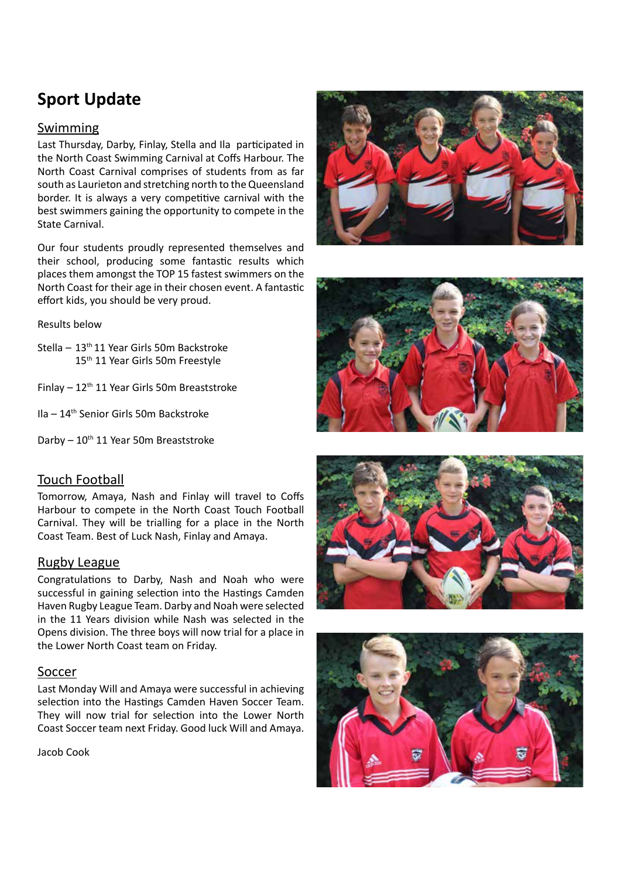# **Sport Update**

#### Swimming

Last Thursday, Darby, Finlay, Stella and Ila participated in the North Coast Swimming Carnival at Coffs Harbour. The North Coast Carnival comprises of students from as far south as Laurieton and stretching north to the Queensland border. It is always a very competitive carnival with the best swimmers gaining the opportunity to compete in the State Carnival.

Our four students proudly represented themselves and their school, producing some fantastic results which places them amongst the TOP 15 fastest swimmers on the North Coast for their age in their chosen event. A fantastic effort kids, you should be very proud.

Results below

- Stella 13<sup>th</sup> 11 Year Girls 50m Backstroke 15th 11 Year Girls 50m Freestyle
- Finlay  $12<sup>th</sup> 11$  Year Girls 50m Breaststroke
- Ila 14th Senior Girls 50m Backstroke

Darby  $-10^{th}$  11 Year 50m Breaststroke

#### Touch Football

Tomorrow, Amaya, Nash and Finlay will travel to Coffs Harbour to compete in the North Coast Touch Football Carnival. They will be trialling for a place in the North Coast Team. Best of Luck Nash, Finlay and Amaya.

#### Rugby League

Congratulations to Darby, Nash and Noah who were successful in gaining selection into the Hastings Camden Haven Rugby League Team. Darby and Noah were selected in the 11 Years division while Nash was selected in the Opens division. The three boys will now trial for a place in the Lower North Coast team on Friday.

#### Soccer

Last Monday Will and Amaya were successful in achieving selection into the Hastings Camden Haven Soccer Team. They will now trial for selection into the Lower North Coast Soccer team next Friday. Good luck Will and Amaya.

Jacob Cook